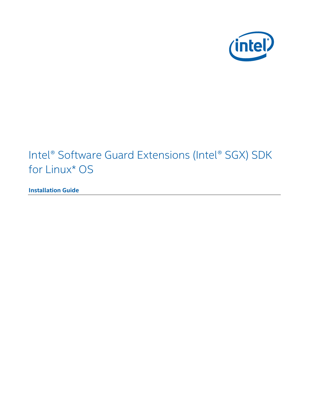

# Intel® Software Guard Extensions (Intel® SGX) SDK for Linux\* OS

**Installation Guide**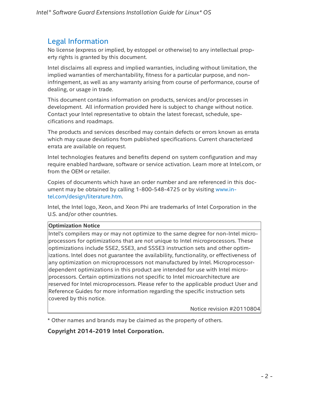## Legal Information

No license (express or implied, by estoppel or otherwise) to any intellectual property rights is granted by this document.

Intel disclaims all express and implied warranties, including without limitation, the implied warranties of merchantability, fitness for a particular purpose, and noninfringement, as well as any warranty arising from course of performance, course of dealing, or usage in trade.

This document contains information on products, services and/or processes in development. All information provided here is subject to change without notice. Contact your Intel representative to obtain the latest forecast, schedule, specifications and roadmaps.

The products and services described may contain defects or errors known as errata which may cause deviations from published specifications. Current characterized errata are available on request.

Intel technologies features and benefits depend on system configuration and may require enabled hardware, software or service activation. Learn more at Intel.com, or from the OEM or retailer.

Copies of documents which have an order number and are referenced in this document may be obtained by calling 1-800-548-4725 or by visiting www.in[tel.com/design/literature.htm.](http://www.intel.com/design/literature.htm)

Intel, the Intel logo, Xeon, and Xeon Phi are trademarks of Intel Corporation in the U.S. and/or other countries.

#### **Optimization Notice**

Intel's compilers may or may not optimize to the same degree for non-Intel microprocessors for optimizations that are not unique to Intel microprocessors. These optimizations include SSE2, SSE3, and SSSE3 instruction sets and other optimizations. Intel does not guarantee the availability, functionality, or effectiveness of any optimization on microprocessors not manufactured by Intel. Microprocessordependent optimizations in this product are intended for use with Intel microprocessors. Certain optimizations not specific to Intel microarchitecture are reserved for Intel microprocessors. Please refer to the applicable product User and Reference Guides for more information regarding the specific instruction sets covered by this notice.

Notice revision #20110804

\* Other names and brands may be claimed as the property of others.

## **Copyright 2014-2019 Intel Corporation.**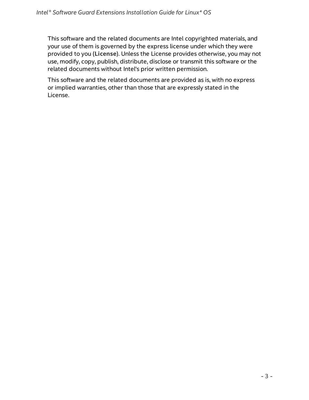This software and the related documents are Intel copyrighted materials, and your use of them is governed by the express license under which they were provided to you (**License**). Unless the License provides otherwise, you may not use, modify, copy, publish, distribute, disclose or transmit this software or the related documents without Intel's prior written permission.

This software and the related documents are provided as is, with no express or implied warranties, other than those that are expressly stated in the License.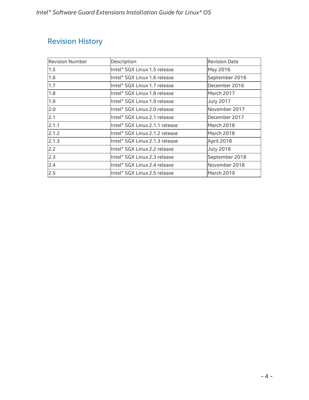# Revision History

| <b>Revision Number</b> | Description                    | <b>Revision Date</b> |
|------------------------|--------------------------------|----------------------|
| 1.5                    | Intel® SGX Linux 1.5 release   | May 2016             |
| 1.6                    | Intel® SGX Linux 1.6 release   | September 2016       |
| 1.7                    | Intel® SGX Linux 1.7 release   | December 2016        |
| 1.8                    | Intel® SGX Linux 1.8 release   | March 2017           |
| 1.9                    | Intel® SGX Linux 1.9 release   | <b>July 2017</b>     |
| 2.0                    | Intel® SGX Linux 2.0 release   | November 2017        |
| 2.1                    | lIntel® SGX Linux 2.1 release  | December 2017        |
| 2.1.1                  | Intel® SGX Linux 2.1.1 release | March 2018           |
| 2.1.2                  | Intel® SGX Linux 2.1.2 release | March 2018           |
| 2.1.3                  | Intel® SGX Linux 2.1.3 release | April 2018           |
| 2.2                    | Intel® SGX Linux 2.2 release   | <b>July 2018</b>     |
| 2.3                    | Intel® SGX Linux 2.3 release   | September 2018       |
| 2.4                    | Intel® SGX Linux 2.4 release   | November 2018        |
| 2.5                    | Intel® SGX Linux 2.5 release   | March 2019           |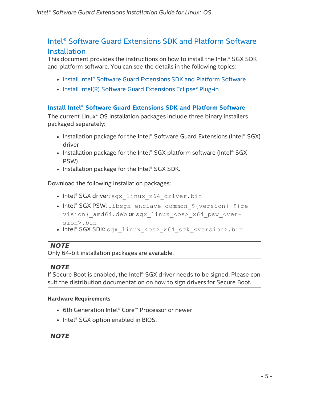## Intel® Software Guard Extensions SDK and Platform Software **Installation**

This document provides the instructions on how to install the Intel® SGX SDK and platform software. You can see the details in the following topics:

- Install Intel® Software Guard [Extensions](#page-4-0) SDK and Platform Software
- Install Intel(R) Software Guard [Extensions](#page-11-0) Eclipse\* Plug-in

## <span id="page-4-0"></span>**Install Intel® Software Guard Extensions SDK and Platform Software**

The current Linux\* OS installation packages include three binary installers packaged separately:

- Installation package for the Intel® Software Guard Extensions (Intel® SGX) driver
- Installation package for the Intel® SGX platform software (Intel® SGX PSW)
- $\bullet$  Installation package for the Intel® SGX SDK.

Download the following installation packages:

- Intel® SGX driver: sgx\_linux\_x64\_driver.bin
- Intel® SGX PSW: libsgx-enclave-common \${version}-\${revision} amd64.deb or sgx\_linux\_<os>\_x64\_psw\_<version>.bin
- Intel® SGX SDK: sgx\_linux\_<os>\_x64\_sdk\_<version>.bin

## *NOTE*

Only 64-bit installation packages are available.

## *NOTE*

If Secure Boot is enabled, the Intel® SGX driver needs to be signed. Please consult the distribution documentation on how to sign drivers for Secure Boot.

## **Hardware Requirements**

- 6th Generation Intel® Core™ Processor or newer
- Intel® SGX option enabled in BIOS.

## *NOTE*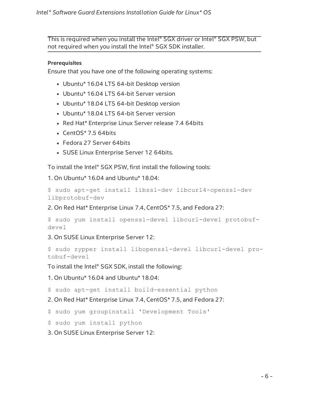This is required when you install the Intel® SGX driver or Intel® SGX PSW, but not required when you install the Intel® SGX SDK installer.

#### **Prerequisites**

Ensure that you have one of the following operating systems:

- Ubuntu\* 16.04 LTS 64-bit Desktop version
- Ubuntu\* 16.04 LTS 64-bit Server version
- Ubuntu\* 18.04 LTS 64-bit Desktop version
- Ubuntu\* 18.04 LTS 64-bit Server version
- Red Hat\* Enterprise Linux Server release 7.4 64bits
- $\cdot$  CentOS\* 7.5 64bits
- Fedora 27 Server 64bits
- SUSE Linux Enterprise Server 12 64bits.

To install the Intel® SGX PSW, first install the following tools:

1. On Ubuntu\* 16.04 and Ubuntu\* 18.04:

```
$ sudo apt-get install libssl-dev libcurl4-openssl-dev
libprotobuf-dev
```
2. On Red Hat\* Enterprise Linux 7.4, CentOS\* 7.5, and Fedora 27:

```
$ sudo yum install openssl-devel libcurl-devel protobuf-
devel
```
3. On SUSE Linux Enterprise Server 12:

```
$ sudo zypper install libopenssl-devel libcurl-devel pro-
tobuf-devel
```
To install the Intel® SGX SDK, install the following:

1. On Ubuntu\* 16.04 and Ubuntu\* 18.04:

\$ sudo apt-get install build-essential python

2. On Red Hat\* Enterprise Linux 7.4, CentOS\* 7.5, and Fedora 27:

\$ sudo yum groupinstall 'Development Tools'

\$ sudo yum install python

3. On SUSE Linux Enterprise Server 12: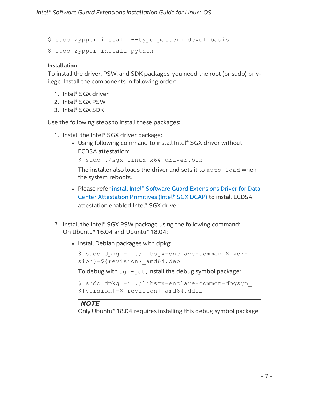\$ sudo zypper install --type pattern devel\_basis \$ sudo zypper install python

#### **Installation**

To install the driver, PSW, and SDK packages, you need the root (or sudo) privilege. Install the components in following order:

- 1. Intel® SGX driver
- 2. Intel® SGX PSW
- 3. Intel® SGX SDK

Use the following steps to install these packages:

- 1. Install the Intel® SGX driver package:
	- Using following command to install Intel® SGX driver without ECDSA attestation:

\$ sudo ./sgx\_linux\_x64\_driver.bin

The installer also loads the driver and sets it to auto-load when the system reboots.

- Please refer install Intel® Software Guard Extensions Driver for Data Center [Attestation](#page-10-0) Primitives (Intel® SGX DCAP) to install ECDSA attestation enabled Intel® SGX driver.
- 2. Install the Intel® SGX PSW package using the following command: On Ubuntu\* 16.04 and Ubuntu\* 18.04:
	- Install Debian packages with dpkg:

```
$ sudo dpkg -i ./libsgx-enclave-common_${ver-
sion}-${revision}_amd64.deb
```
To debug with sgx-gdb, install the debug symbol package:

```
$ sudo dpkg -i ./libsgx-enclave-common-dbgsym_
${version}-${revision}_amd64.ddeb
```
## *NOTE*

Only Ubuntu\* 18.04 requires installing this debug symbol package.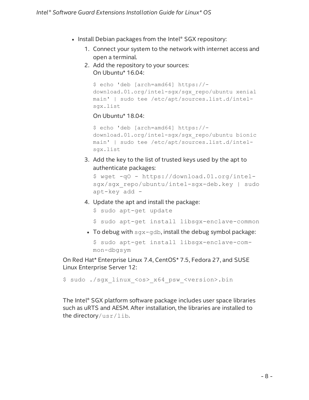- Install Debian packages from the Intel® SGX repository:
	- 1. Connect your system to the network with internet access and open a terminal.
	- 2. Add the repository to your sources: On Ubuntu\* 16.04:

```
$ echo 'deb [arch=amd64] https://-
download.01.org/intel-sgx/sgx_repo/ubuntu xenial
main' | sudo tee /etc/apt/sources.list.d/intel-
sgx.list
```
On Ubuntu\* 18.04:

```
$ echo 'deb [arch=amd64] https://-
download.01.org/intel-sgx/sgx_repo/ubuntu bionic
main' | sudo tee /etc/apt/sources.list.d/intel-
sgx.list
```
3. Add the key to the list of trusted keys used by the apt to authenticate packages:

```
$ wget -qO - https://download.01.org/intel-
sgx/sgx_repo/ubuntu/intel-sgx-deb.key | sudo
apt-key add -
```
4. Update the apt and install the package:

```
$ sudo apt-get update
```
- \$ sudo apt-get install libsgx-enclave-common
- To debug with  $\frac{sgx-qdb}{dt}$ , install the debug symbol package:

```
$ sudo apt-get install libsgx-enclave-com-
mon-dbgsym
```
On Red Hat\* Enterprise Linux 7.4, CentOS\* 7.5, Fedora 27, and SUSE Linux Enterprise Server 12:

```
$ sudo ./sgx_linux_<os>_x64_psw_<version>.bin
```
The Intel® SGX platform software package includes user space libraries such as uRTS and AESM. After installation, the libraries are installed to the directory/usr/lib.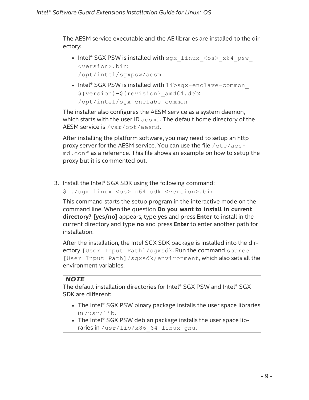The AESM service executable and the AE libraries are installed to the directory:

- Intel® SGX PSW is installed with  $sgx$  linux  $\langle os \rangle$  x64 psw <version>.bin: /opt/intel/sgxpsw/aesm
- Intel® SGX PSW is installed with libsgx-enclave-common \${version}-\${revision}\_amd64.deb: /opt/intel/sgx\_enclabe\_common

The installer also configures the AESM service as a system daemon, which starts with the user ID aesmd. The default home directory of the AESM service is /var/opt/aesmd.

After installing the platform software, you may need to setup an http proxy server for the AESM service. You can use the file /etc/aesmd.conf as a reference. This file shows an example on how to setup the proxy but it is commented out.

3. Install the Intel® SGX SDK using the following command:

\$ ./sgx\_linux\_<os>\_x64\_sdk\_<version>.bin

This command starts the setup program in the interactive mode on the command line. When the question **Do you want to install in current directory? [yes/no]** appears, type **yes** and press **Enter** to install in the current directory and type **no** and press **Enter** to enter another path for installation.

After the installation, the Intel SGX SDK package is installed into the directory [User Input Path]/sgxsdk. Run the command source [User Input Path]/sgxsdk/environment, which also sets all the environment variables.

## *NOTE*

The default installation directories for Intel® SGX PSW and Intel® SGX SDK are different:

- The Intel® SGX PSW binary package installs the user space libraries in /usr/lib.
- The Intel® SGX PSW debian package installs the user space libraries in /usr/lib/x86\_64-linux-gnu.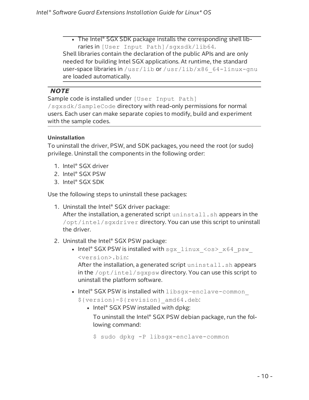• The Intel® SGX SDK package installs the corresponding shell libraries in [User Input Path]/sgxsdk/lib64. Shell libraries contain the declaration of the public APIs and are only needed for building Intel SGX applications. At runtime, the standard user-space libraries in /usr/lib or /usr/lib/x86\_64-linux-gnu are loaded automatically.

## *NOTE*

Sample code is installed under [User Input Path]

/sgxsdk/SampleCode directory with read-only permissions for normal users. Each user can make separate copies to modify, build and experiment with the sample codes.

## **Uninstallation**

To uninstall the driver, PSW, and SDK packages, you need the root (or sudo) privilege. Uninstall the components in the following order:

- 1. Intel® SGX driver
- 2. Intel® SGX PSW
- 3. Intel® SGX SDK

Use the following steps to uninstall these packages:

1. Uninstall the Intel® SGX driver package:

After the installation, a generated script uninstall. sh appears in the /opt/intel/sgxdriver directory. You can use this script to uninstall the driver.

- 2. Uninstall the Intel® SGX PSW package:
	- Intel® SGX PSW is installed with  $sgx$  linux  $\langle os \rangle$  x64 psw <version>.bin:

After the installation, a generated script uninstall.sh appears in the /opt/intel/sgxpsw directory. You can use this script to uninstall the platform software.

• Intel® SGX PSW is installed with libsgx-enclave-common

\${version}-\${revision}\_amd64.deb:

• Intel® SGX PSW installed with dpkg:

To uninstall the Intel® SGX PSW debian package, run the following command:

\$ sudo dpkg -P libsgx-enclave-common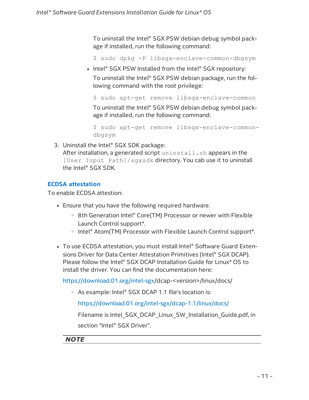To uninstall the Intel® SGX PSW debian debug symbol package if installed, run the following command:

\$ sudo dpkg -P libsgx-enclave-common-dbgsym

• Intel® SGX PSW Installed from the Intel® SGX repository:

To uninstall the Intel® SGX PSW debian package, run the following command with the root privilege:

```
$ sudo apt-get remove libsgx-enclave-common
```
To uninstall the Intel® SGX PSW debian debug symbol package if installed, run the following command:

```
$ sudo apt-get remove libsgx-enclave-common-
dbgsym
```
3. Uninstall the Intel® SGX SDK package:

After installation, a generated script uninstall. sh appears in the [User Input Path]/sgxsdk directory. You cab use it to uninstall the Intel® SGX SDK.

## <span id="page-10-0"></span>**ECDSA attestation**

To enable ECDSA attestion:

- Ensure that you have the following required hardware.
	- 8th Generation Intel® Core(TM) Processor or newer with Flexible Launch Control support\*.
	- Intel® Atom(TM) Processor with Flexible Launch Control support\*.
- To use ECDSA attestation, you must install Intel® Software Guard Extensions Driver for Data Center Attestation Primitives (Intel® SGX DCAP). Please follow the Intel® SGX DCAP Installation Guide for Linux\* OS to install the driver. You can find the documentation here:

[https://download.01.org/intel-sgx](https://download.01.org/intel-sgx/)/dcap-<version>/linux/docs/

<sup>o</sup> As example: Intel® SGX DCAP 1.1 file's location is:

<https://download.01.org/intel-sgx/dcap-1.1/linux/docs/>

Filename is Intel SGX\_DCAP\_Linux\_SW\_Installation\_Guide.pdf, in section "Intel® SGX Driver".

## *NOTE*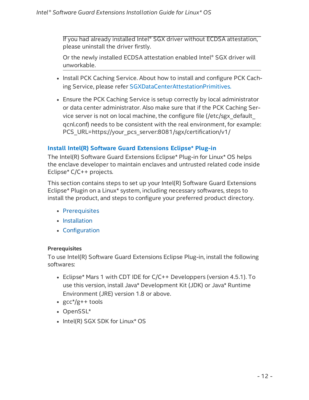If you had already installed Intel® SGX driver without ECDSA attestation, please uninstall the driver firstly.

Or the newly installed ECDSA attestation enabled Intel® SGX driver will unworkable.

- Install PCK Caching Service. About how to install and configure PCK Caching Service, please refer [SGXDataCenterAttestationPrimitives.](https://github.com/intel/SGXDataCenterAttestationPrimitives/tree/master/QuoteGeneration/pcs)
- Ensure the PCK Caching Service is setup correctly by local administrator or data center administrator. Also make sure that if the PCK Caching Service server is not on local machine, the configure file (/etc/sgx\_default\_ qcnl.conf) needs to be consistent with the real environment, for example: PCS\_URL=https://your\_pcs\_server:8081/sgx/certification/v1/

## <span id="page-11-0"></span>**Install Intel(R) Software Guard Extensions Eclipse\* Plug-in**

The Intel(R) Software Guard Extensions Eclipse\* Plug-in for Linux\* OS helps the enclave developer to maintain enclaves and untrusted related code inside Eclipse\* C/C++ projects.

This section contains steps to set up your Intel(R) Software Guard Extensions Eclipse\* Plugin on a Linux\* system, including necessary softwares, steps to install the product, and steps to configure your preferred product directory.

- [Prerequisites](#page-11-1)
- [Installation](#page-12-0)
- [Configuration](#page-15-0)

## <span id="page-11-1"></span>**Prerequisites**

To use Intel(R) Software Guard Extensions Eclipse Plug-in, install the following softwares:

- Eclipse\* Mars 1 with CDT IDE for C/C++ Developpers (version 4.5.1). To use this version, install Java\* Development Kit (JDK) or Java\* Runtime Environment (JRE) version 1.8 or above.
- $gcc*/g++$  tools
- OpenSSL\*
- Intel(R) SGX SDK for Linux\* OS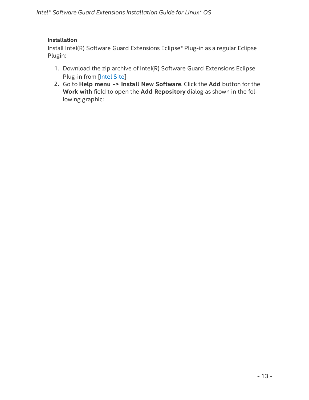## <span id="page-12-0"></span>**Installation**

Install Intel(R) Software Guard Extensions Eclipse\* Plug-in as a regular Eclipse Plugin:

- 1. Download the zip archive of Intel(R) Software Guard Extensions Eclipse Plug-in from [\[Intel](https://01.org/intel-software-guard-extensions/downloads) Site]
- 2. Go to **Help menu -> Install New Software**. Click the **Add** button for the **Work with** field to open the **Add Repository** dialog as shown in the following graphic: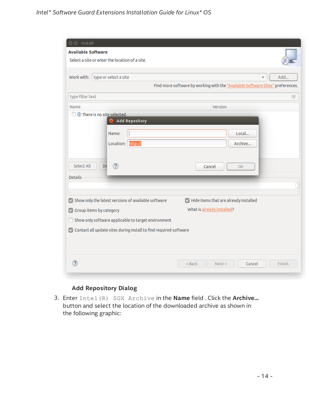| <b>Install</b>                                                                                    |  |  |
|---------------------------------------------------------------------------------------------------|--|--|
| <b>Available Software</b>                                                                         |  |  |
| Select a site or enter the location of a site.                                                    |  |  |
|                                                                                                   |  |  |
| Work with:<br>type or select a site<br>Add<br>$\overline{\mathbf{v}}$                             |  |  |
| Find more software by working with the "Available Software Sites" preferences.                    |  |  |
| type filter text<br>$\langle \chi$                                                                |  |  |
| Version<br>Name                                                                                   |  |  |
| 1 There is no site selected.                                                                      |  |  |
| <b>Add Repository</b>                                                                             |  |  |
| Local<br>Name:                                                                                    |  |  |
| Location: http://<br>Archive                                                                      |  |  |
|                                                                                                   |  |  |
| $\circledR$<br>Select All                                                                         |  |  |
| D€<br>Cancel<br>OK                                                                                |  |  |
| <b>Details</b>                                                                                    |  |  |
|                                                                                                   |  |  |
| Show only the latest versions of available software<br>Hide items that are already installed<br>M |  |  |
| What is already installed?<br>Group items by category<br>M                                        |  |  |
| Show only software applicable to target environment                                               |  |  |
| Contact all update sites during install to find required software<br>M                            |  |  |
|                                                                                                   |  |  |
|                                                                                                   |  |  |
|                                                                                                   |  |  |
| 7<br>Finish<br>< Back<br>Next<br>Cancel                                                           |  |  |
|                                                                                                   |  |  |

## **Add Repository Dialog**

3. Enter Intel(R) SGX Archive in the **Name** field . Click the **Archive...** button and select the location of the downloaded archive as shown in the following graphic: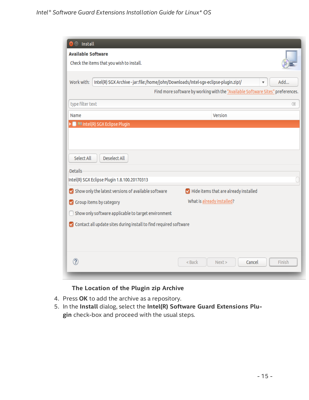| Work with:<br>Intel(R) SGX Archive - jar:file:/home/john/Downloads/Intel-sgx-eclipse-plugin.zip!/<br>Find more software by working with the "Available Software Sites" preferences.<br>type filter text | Add<br>▼ |
|---------------------------------------------------------------------------------------------------------------------------------------------------------------------------------------------------------|----------|
|                                                                                                                                                                                                         |          |
|                                                                                                                                                                                                         |          |
|                                                                                                                                                                                                         | Œ        |
| Version<br>Name                                                                                                                                                                                         |          |
| Select All<br>Deselect All<br><b>Details</b><br>Intel(R) SGX Eclipse Plugin 1.8.100.20170313                                                                                                            |          |
| Show only the latest versions of available software<br>Hide items that are already installed                                                                                                            |          |
| What is already installed?<br>Group items by category                                                                                                                                                   |          |
| Show only software applicable to target environment<br>П                                                                                                                                                |          |
| ✔ Contact all update sites during install to find required software                                                                                                                                     |          |
|                                                                                                                                                                                                         |          |

## **The Location of the Plugin zip Archive**

- 4. Press **OK** to add the archive as a repository.
- 5. In the **Install** dialog, select the **Intel(R) Software Guard Extensions Plugin** check-box and proceed with the usual steps.